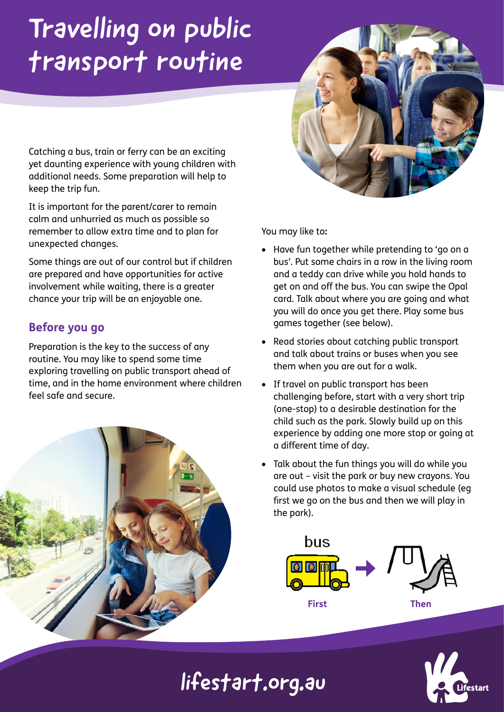# Travelling on public transport routine

Catching a bus, train or ferry can be an exciting yet daunting experience with young children with additional needs. Some preparation will help to keep the trip fun.

It is important for the parent/carer to remain calm and unhurried as much as possible so remember to allow extra time and to plan for unexpected changes.

Some things are out of our control but if children are prepared and have opportunities for active involvement while waiting, there is a greater chance your trip will be an enjoyable one.

## **Before you go**

Preparation is the key to the success of any routine. You may like to spend some time exploring travelling on public transport ahead of time, and in the home environment where children feel safe and secure.



You may like to**:** 

- Have fun together while pretending to 'go on a bus'. Put some chairs in a row in the living room and a teddy can drive while you hold hands to get on and off the bus. You can swipe the Opal card. Talk about where you are going and what you will do once you get there. Play some bus games together (see below).
- Read stories about catching public transport and talk about trains or buses when you see them when you are out for a walk.
- If travel on public transport has been challenging before, start with a very short trip (one-stop) to a desirable destination for the child such as the park. Slowly build up on this experience by adding one more stop or going at a different time of day.
- Talk about the fun things you will do while you are out – visit the park or buy new crayons. You could use photos to make a visual schedule (eg first we go on the bus and then we will play in the park).





lifestart.org.au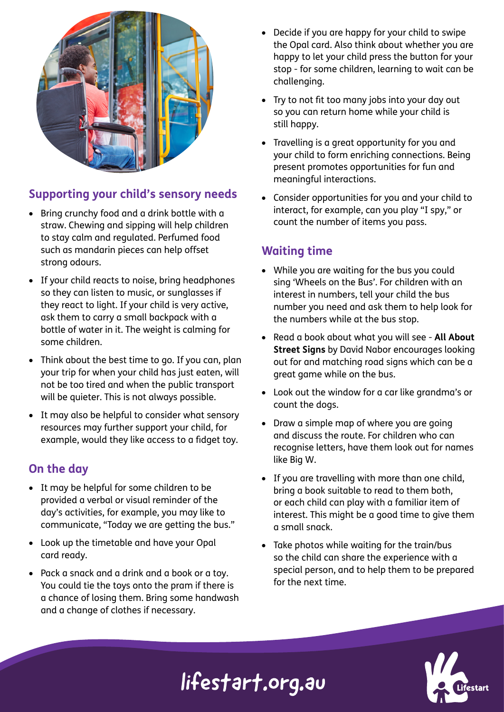

### **Supporting your child's sensory needs**

- Bring crunchy food and a drink bottle with a straw. Chewing and sipping will help children to stay calm and regulated. Perfumed food such as mandarin pieces can help offset strong odours.
- If your child reacts to noise, bring headphones so they can listen to music, or sunglasses if they react to light. If your child is very active, ask them to carry a small backpack with a bottle of water in it. The weight is calming for some children.
- Think about the best time to go. If you can, plan your trip for when your child has just eaten, will not be too tired and when the public transport will be quieter. This is not always possible.
- It may also be helpful to consider what sensory resources may further support your child, for example, would they like access to a fidget toy.

#### **On the day**

- It may be helpful for some children to be provided a verbal or visual reminder of the day's activities, for example, you may like to communicate, "Today we are getting the bus."
- Look up the timetable and have your Opal card ready.
- Pack a snack and a drink and a book or a toy. You could tie the toys onto the pram if there is a chance of losing them. Bring some handwash and a change of clothes if necessary.
- Decide if you are happy for your child to swipe the Opal card. Also think about whether you are happy to let your child press the button for your stop - for some children, learning to wait can be challenging.
- Try to not fit too many jobs into your day out so you can return home while your child is still happy.
- Travelling is a great opportunity for you and your child to form enriching connections. Being present promotes opportunities for fun and meaningful interactions.
- Consider opportunities for you and your child to interact, for example, can you play "I spy," or count the number of items you pass.

### **Waiting time**

- While you are waiting for the bus you could sing 'Wheels on the Bus'. For children with an interest in numbers, tell your child the bus number you need and ask them to help look for the numbers while at the bus stop.
- Read a book about what you will see **All About Street Signs** by David Nabor encourages looking out for and matching road signs which can be a great game while on the bus.
- Look out the window for a car like grandma's or count the dogs.
- Draw a simple map of where you are going and discuss the route. For children who can recognise letters, have them look out for names like Big W.
- If you are travelling with more than one child, bring a book suitable to read to them both, or each child can play with a familiar item of interest. This might be a good time to give them a small snack.
- Take photos while waiting for the train/bus so the child can share the experience with a special person, and to help them to be prepared for the next time.



# lifestart.org.au